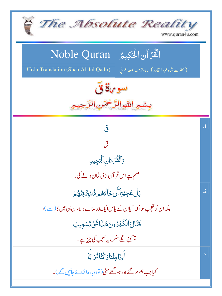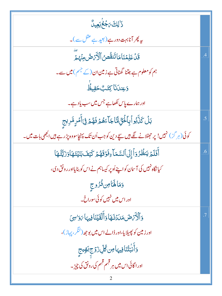| <u>ڒؘ</u> ؙڶڸ <i>ڐٞ؆ڿۘ۫ڂۢ</i> ڹۘۼۣۑۨ <i>ۮۨٞ</i>                                                             |                 |
|-------------------------------------------------------------------------------------------------------------|-----------------|
| یہ پھر آنابہت دور ہے (بعید ہے <sup>عقل</sup> سے )۔                                                          |                 |
| قَلْ عَلِمْنَا مَاتَنقُصْ ٱلْأَرَّصُ مِنْهُمَّ                                                              |                 |
| ہم کو معلوم ہے جتنا گھٹاتی ہے زمین ان (کے جسم ) میں سے۔                                                     |                 |
| وَعِندَانَا كِتَبَّ حَفِيظُ                                                                                 |                 |
| اور ہمارے پاس لکھاہے جس میں سب یاد ہے۔                                                                      |                 |
| بَلۡ كَذَّبُواۡ بِٱلۡٓخَٰٓتِّى لَمَّاۡ جَآءَهُمۡ فَهُمۡ فِیۡأَمۡرٍ مَّرِیۡحِ                                | 5               |
| کوئی(ہر گ <sup>ی</sup> ) نہیں! پر جھٹلانے لگے ہیں سچے دین کو جب اُن تک پہنچاٍسووہ پڑر ہے ہیں الجھی بات میں۔ |                 |
| أَفَلَمُ يَنظُرُوَٱ إِلَى ٱلسَّمَآءِفَوۡقَهُمۡ كَيۡفَ بَنَيۡنَـٰهَاوَرَيَّتَّـهَا                           | .6              |
| کیانگاہ نہیں کی آسان کواپنے اُوپر کیساہم نے اس کو بنایااور رونق دی،                                         |                 |
| وَمَالَهَامِنفُرُوج                                                                                         |                 |
| اور اس میں نہیں کوئی سوراخ۔                                                                                 |                 |
| وَٱلۡأَرۡهَٰنَ مَلَاَنَهَاۢ وَأَلۡقَيۡنَاۡ فِيهَاٰ يَوۡسِیَ                                                 | $\overline{.7}$ |
| اور زمین کو پھیلایا،اور ڈالے اس میں بو جھ <sup>(انگر</sup> ، پہاڑ)،                                         |                 |
| <sub>ۘ</sub><br>وَأَنۡبَٰتَنَافِيہَامِن کُلِّ زَوۡجٖبَھِيجِ                                                 |                 |
| اور اگائی اس میں ہر قیم قیم کی رونق کی چیز ۔                                                                |                 |
| 2                                                                                                           |                 |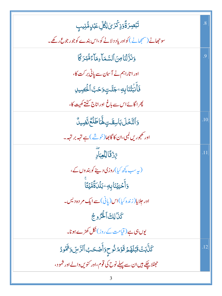| <i>ؾۜڹٞڝؚۯۊٚۘۘٞ</i> ؘۏۯؚڬۘۯؽڶڸڟۨڸػؠٞڸٟڡ۠ٞڹۣؠٮؚ                                | .8        |
|-------------------------------------------------------------------------------|-----------|
| سوحجھانے (سمجھانے) کواور یاد دلانے کو،اس بندے کوجور جوع رکھے۔                 |           |
| وَنَزَّلَّنَامِنَ ٱلسَّمَاءِمَآءَمُّبَرَكَا                                   | $\cdot$ 9 |
| اور اتاراہم نے آسان سے پانی بر کت کا،                                         |           |
| <b>ذَأَنْبُثْنَابِ</b> هِۦجَنَّتٍۥرَحَبَّال <b>ُّك</b> َصِيلِ                 |           |
| پھر اگائےاس سے باغ اور اناج کٹتے کھی <b>ت</b> کا،                             |           |
| <u>و</u> َٱلنَّخۡلَ بَاسِقَتٍ لَّمَّا طَلَّعٌ نَّضِيلٌ                        | .10       |
| اور تھجوریں کمبی،ان کا گاڑھا(خوشے ) ہے تہہ بر تہہ ۔                           |           |
| ؆ۯؘػٙٵڸڷۼٵۜڋ                                                                  | .11       |
| (پہ سب کچھ کیا)روزی دینے کو بندوں کے ،                                        |           |
| <u>و</u> َأَحۡيَيۡنَابِهِۦۢبَلۡلَاَةَۚمَّيۡتَاۚ                               |           |
| اور جِلایا(زندہ کیا)اس(پانی)سے ایک مر دہ دیس۔                                 |           |
| كَنَا لِكَ ٱلْخُرُوجُ                                                         |           |
| یوں ہی ہے ( قیامت <sup>کے</sup> روز ) نکل کھڑے ہو نا۔                         |           |
| ػڶ <sub>ؖ</sub> ڹؾؙ <b>ڐڹ</b> ؘڶۿؽ <sub>ۘ</sub> ۊؘۏۿۯؙ۠ڔڿ؋ٲؖڞؘڂٮ۪۠ٱڵڗٞڛۨ؋ۿؙٶۮ | .12       |
| حیٹلا چکے ہیں ان سے پہلے نوح کی قوم،اور کنویں والے اور شمو د ،                |           |

 $\mathfrak{Z}$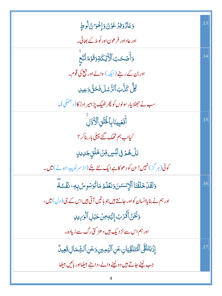| 5عَادٌوَفِرْعَوْنُ وَإِخْوَانُ لُوطٍ                                        | .13 |
|-----------------------------------------------------------------------------|-----|
| اور عاد اور فرعون اور لُوط کے بِھائی۔                                       |     |
| وَأَصۡحَبُ ٱلۡأَيۡكَةِوَقَوۡهُ تُبَّع                                       | .14 |
| اور بَن کے رہنے (ایکہ) والے اور تبغ <sup>س</sup> ی قوم۔                     |     |
| ڴڵ۠ۘػڹۨ <i>ؖ</i> ؘڹٵڷڒ۠ۺڶ؋ؘػؾ۠ۜۏۼؚۑڮ                                        |     |
| سب نے حجٹلا یار سولوں کو پھر ٹھیک پڑامیر ادڑ کا( دھمکی)۔                    |     |
| أَفَعَيِينَابِأَلْحَلَّقِٱلْأَوَّلِ                                         | .15 |
| کیااب ہم تھک گئے پہلی بار بناکر؟                                            |     |
| <b>ڹ</b> ڷۿ۠ؗؗ؞ۧۦۏۣڶڹٞٙڛۣۊۨ <i>ڹ۫</i> ڬڶٙؗۛۊؚڿۜۨۨڔؠڕ                        |     |
| کوئی(ہر گز) نہیں! ان کو دھوکاہےایک نئے بننے (از سر نوپیداہونے) میں۔         |     |
| وَلَقَلْ خَلَقَْنَا ٱلْإِنسَنَ وَنَعَلَّمُ مَا تُوَسُوِسُ بِهِ عَفَّسُهُ    | .16 |
| اور ہم نے بنایاانسان کواور جانتے ہیں جو باتیں آتی ہیں اس کے جی (ول) میں،    |     |
| وَنَحَنُ أَقَّرَبُ إِلِيَّهِ مِنْ حَبْلِ ٱلْوَيِّدِينِ                      |     |
| اور ہم اس سے نز دیک ہیں د حر <sup>و ک</sup> ق رگ سے زیادہ۔                  |     |
| إِزۡ يَتَلَقَّىٰ ٱلۡمُتَلَقِّيَانِعَنِ ٱلۡيَمِينِ وَعَنِ ٱلشِّمَالِ قَعِيدٌ | .17 |
| جب لینے جاتے ہیں دولینے والے، داننے بیٹھااور بائیں بیٹھا                    |     |
|                                                                             |     |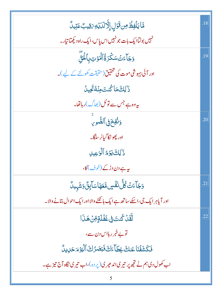| مَّا يَلْفِظُ مِن قَوْلِ إِلَّالَدَيْهِ بَقِيبٌ عَتِيدٌ                    | .18 |
|----------------------------------------------------------------------------|-----|
| نہیں بولتاایک بات جو نہیں اس پاس،ایک راہ دیکھتا تیار۔                      |     |
| وَجَاْءَتُّسَكُرَةُ۠الْمَوۡتِ بِٱلۡـُنَّ                                   | .19 |
| اور آئی بیہو شی موت کی تحقیق(حقیقت کھولنے کے لیے)۔                         |     |
| ذَلِكَمَا كُنتَ مِنْهُ تَجِيلُ                                             |     |
| ىيە دە ہے جس سے تو <sup>ٹل</sup> (بھاگ)ر ہاتھا۔                            |     |
| وَنُفِخَفِى ٱلصُّوِرِ                                                      | .20 |
| اور پھو نکا گیانر سنگا۔                                                    |     |
| ذَٰ لِكَ يَؤْمُ ٱلْوَعِيلِ                                                 |     |
| ىيە بەن دڑكے (خوف) كا،                                                     |     |
| <u>و</u> َجَآءَتۡ کُلُّ نَفۡسٍ مَّعَهَاۤ سَآبِنَّ وَشَ <sub>ّه</sub> ِیدُّ | .21 |
| اور آیاہر ایک جی،اسکے ساتھ ہے ایک ہانگنے والا اور ایک احوال بتانے والا۔    |     |
| لِّقَلْ كُنتَ فِى غَفَلَةٍ مِّنَ هَذَا                                     | .22 |
| توبے خبر رہااس دن سے ،                                                     |     |
| فَكَشَفَنَا عَنكَ غِطَآءَكَ فَبَصَرُكَ ٱلْيَوْمَ حَلِيلٌ                   |     |
| اب کھول دی ہم نے تجھ پر تیری اند حیر کی (پر دہ )،اب تیر کی نگاہ آج تیز ہے۔ |     |
|                                                                            |     |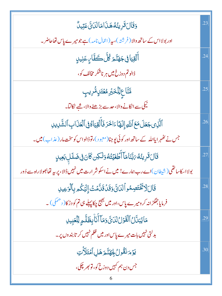| 5قَالَ قَرِينُهُهَذَامَالَدَىَّ عَتِيلٌ                                                        | .23 |
|------------------------------------------------------------------------------------------------|-----|
| اور بولااس کے ساتھ والا ( فرشتہ )، یہ (اعمال نامہ ) ہے جو میرے پاس تھاحاضر۔                    |     |
| ٲؖڷ <i>ۊ</i> ؾٳڧۣ <i>۫ڿۿڐۧۄٙػ۠ڷۜ</i> ڪٙڡ۠ۜٞٲؠؚػڹؚؠٳؚ                                           | .24 |
| ڈالو تم دوزخ میں ہر ناشکر مخالف <i>ک</i> و،                                                    |     |
| ؗڡۜٞڹؓٵعؚڸ۠ڷ <i>ڂؽ<sub>ڗۣ</sub>ۿۼ۫</i> ٙڎؘڸٟڡ۠۠ڔؠٮؚۣ                                           | .25 |
| .<br>نیکی سے اٹکانے وال <sub>ا</sub> ، حد سے بڑھنے وال <sub>ا</sub> ، شبے نکالیا۔              |     |
| ٱلَّذِى جَعَلَ مَعَ ٱللَّهِ إِلَهًا ءَاخَرَ فَأَلْقِيَاهُ فِى ٱلْعَذَابِ ٱلشَّدِيدِ            | .26 |
| جس نے <i>کٹہر</i> ایااللہ کے ساتھ اور کوئی بوجنا(معبود)، توڈالواس کوسخت مار (عذاب) میں۔        |     |
| قَالَ قَرِينُهُ يَبَّنَاهَا أَطْغَيْتُهُ وَلَكِن كَانَ فِى ضَلَلِ بَعِيدٍ                      | .27 |
| بولااسکاسا تھی(شیطان)اے رب ہمارے! میں نے اسکوشر ارت میں نہیں ڈالا، پر بیہ تھا بھولاراہ سے دُور |     |
| قَالَ لَاتَّخْتَصِمُواْلَدَىَّ وَقَدْ قَدَّمَتُ إِلَيْكُم بِٱلْوَعِيلِ                         | .28 |
| فرمایا جھگڑ انہ کر ومیرے پاس،اور میں بھیج چکاپہلے ہی تم کو دڑ کا( دھمکی) ۔                     |     |
| مَايُبَلَّلُ ٱلْقَوَلُ لَدَىَّ وَمَآ أَنَاْبِظَلَّمِ لِلْعَبِيلِ                               | .29 |
| بدلتی نہیں بات میرے پاس اور میں ظلم نہیں کر تابند وں پر۔                                       |     |
| <i>ؽ</i> ۯٙۄؘٮ۬ڟٞۅڵ <sup>ڸ</sup> ڮۿڐۜۄؘۿڸٲۿؾؘڵۯؙؖؾؚ                                            | .30 |
| جس دن ہم کہیں دوزخ کو، تو بھر چکی،                                                             |     |
|                                                                                                |     |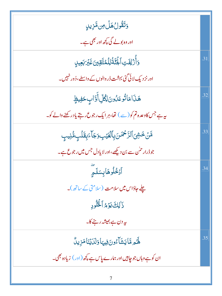| <u>وَتَقُولُ هَلِّ مِن</u> مَّزِيدٍ                                            |     |
|--------------------------------------------------------------------------------|-----|
| اور وہ بولے گی کچھ اور بھی ہے۔                                                 |     |
| <u>و</u> َأَّرۡلِفَتِ ٱلْجُنَّةُٰلِلۡمُتَّقِينَ غَيۡرَ بَعِيلٍ                 | .31 |
| اور نز دیک لائی گئی بہشت ڈر والوں کے واسطے ، ڈور نہیں۔                         |     |
| هَذَامَاتُوعَدُونَ لِكُلِّ أَوَّابٍ حَفِيظٍ                                    | .32 |
| یہ ہے جس کاوعدہ تم کو( <sub>سے</sub> ) تھا،ہر ایک رجوع رہتے یادر کھنے والے کو۔ |     |
| ۿۜ <i>ڹٛڂ</i> ۺۣ۩ڵڗٙڂۿؘڹؘڔۣؠٲڷۼؘؿۑؚۅؘڿۜڵ <sub>ػ</sub> ڔؚڣؘڶڛۿ۠ڹۣؠٮٜ            | .33 |
| جو ڈرار حمٰن سے بن دیکھے ،اور لا یادل جس میں رجوع ہے۔                          |     |
| ٱۯۡڂٛ۠ڶۄۿؘٳۑؚۜڛؘڶڝؖ                                                            | .34 |
| چلے جاؤاس میں سلامت (سلامتی کے ساتھ)۔                                          |     |
| ذَٰ لِكَ يَوۡمُ الۡكُلُودِ                                                     |     |
| ىيەدن ہے ہمیشہ رہنے کا۔                                                        |     |
| لَّهُ مِمَّايَشَاءُونَ فِيهَا وَلَدَيْنَامَزِيلُّ                              | .35 |
| ان کو ہے وہاں جو چاہیں اور ہمارے پاس ہے کچھ (اور ) زیادہ بھی۔                  |     |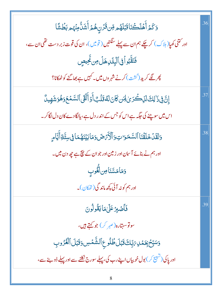| وَكَمُ أَهۡلَكۡنَاقَبۡلَهُم <i>ِ مِّن</i> قۡرَنِۿُمۡ أَشَلُّٰهِنَّهُم <i>ِ</i> بَطۡشًا     | .36 |
|--------------------------------------------------------------------------------------------|-----|
| اور کتنی کھیا( ہلاک ) کر چکے ہم ان سے پہلے سنگتیں ( قومیں )، ان کی قوت زبر دست تھی ان سے ، |     |
| فَنَقَّبُواً فِى ٱلۡبِلَـٰ لِهَلۡ مِن تَّحِيصٍ                                             |     |
| پھر لگے کری <b>د</b> (گشت ) کرنے شہر وں میں۔ کہیں ہے بھاگنے کو ٹھکانا؟                     |     |
| إِنَّ فِي ذَٰ لِكَ لَلْإِكْسَ مَنْ كَانَ لَهُ قَلْبٌ أَوۡ أَلَقَى ٱلسَّمۡعَ وَهُوَ شَهِيدٌ | .37 |
| اس میں سوچنے کی جگہ ہے اس کو جس کے اندر دل ہے، یالگادے کان دل لگا کر۔                      |     |
| وَلَقَلْ خَلَقْنَا ٱلسَّمَوَاتِ وَٱلْأَمَّصَ وَمَا بَيۡنَهُمَا فِىسِتَّةِأَيَّامٍ          | .38 |
| اور ہم نے بنائے آسان اور زمین اور جوان کے نتیج ہے چھ دن میں۔                               |     |
| وَمَامَسَّنَامِن لَگُوبِ                                                                   |     |
| اور ہم کو نہ آئی کچھ ماند گی (تھکان)۔                                                      |     |
| فَأَصْبِرُ عَلَىٰ مَايَقُولُونَ                                                            | .39 |
| سونوسهتاره(ص <sub>بر</sub> کر) جو <del>کتے ہی</del> ں،                                     |     |
| وَسَبِّحْ بِحَمْلِ بَرِّبِكَ ثَبَلَ طُلُوعِ ٱلشَّمۡسِ وَقَبَلَ ٱلۡغُرُوبِ                  |     |
| اور پا کی (تسبیح کر) بول خوبیاں اپنے رب کی، پہلے سورج نکلنے سے اور پہلے ڈو بنے سے،         |     |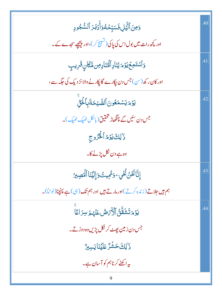| وَمِنَ ٱلَّيَٰلِ فَسَبِّحۡهُوَأَدۡلِنَزَ ٱلسُّجُودِ                  | .40 |
|----------------------------------------------------------------------|-----|
| اور کچھ رات میں بول اس کی پاکی (تسبیح کر)،اور پیچھپے سجدے کے۔        |     |
| وَٱسۡتَمِعۡیَوۡمَیُنَادِٱلۡۡتَادِمِن <b>مَّکَانِ قَرِیبِ</b>         | .41 |
| اور کان رکھ (س)جس دن پکارے گا پکارنے والانز دیک کی جگہ سے،           |     |
| يَوۡمَ يَسۡمَعُونَ ٱلصَّيۡحَةَبِٱلۡخَقِّ                             | .42 |
| جس دن سنیں گے چنگھاڑ تحقیق( بالکل ٹھیک ٹھیک)۔                        |     |
| ذَٰلِكَ يَؤَمُّ الْخُرُوج                                            |     |
| وہ ہے دن نکل پڑنے کا۔                                                |     |
| إِنَّا نَحْنُ نُحْي- وَخُمِيتُ وَإِلَيْنَا ٱلْمَصِيرُ                | .43 |
| ہم ہیں جلاتے (زندہ کرتے)اور مارتے ہیں اور ہم تک (ہی)ہے پہنچنا(لوٹے)۔ |     |
| يَوۡمَ تَشَقَّنُ ٱلۡأَرۡهَٰ عَنۡهُمۡ سِرَاعًا                        | .44 |
| جس دن زمین بھٹ کر نکل پڑیں وہ دوڑتے۔                                 |     |
| ذَ <sup>ا</sup> لِكَ حَشَّرٌ عَلَيْنَا يَسِبِرُّ                     |     |
| یہ ا <u>کھٹے</u> کرناہم کو آسان ہے۔                                  |     |
|                                                                      |     |